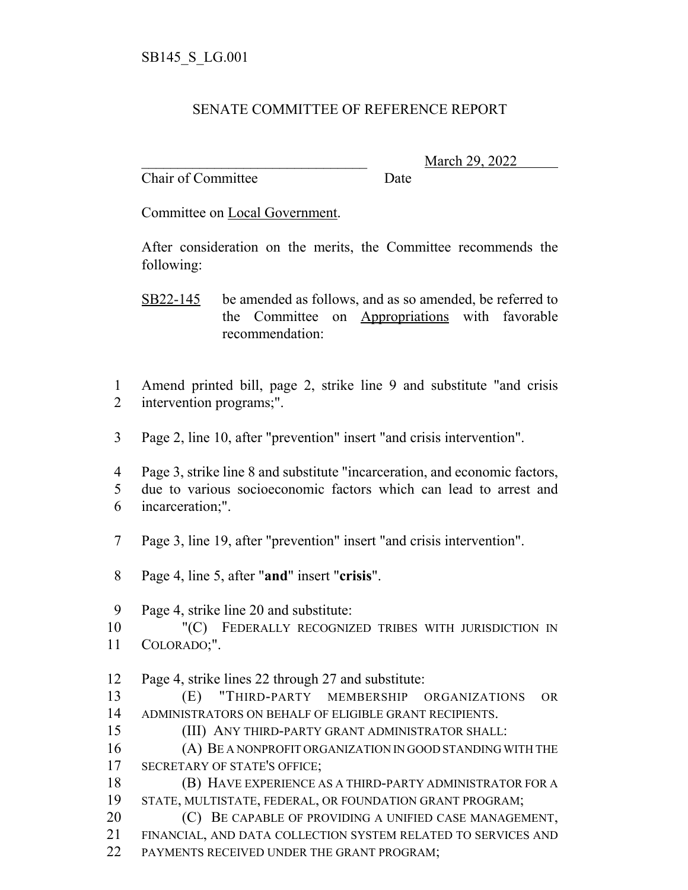## SENATE COMMITTEE OF REFERENCE REPORT

Chair of Committee Date

\_\_\_\_\_\_\_\_\_\_\_\_\_\_\_\_\_\_\_\_\_\_\_\_\_\_\_\_\_\_\_ March 29, 2022

Committee on Local Government.

After consideration on the merits, the Committee recommends the following:

- SB22-145 be amended as follows, and as so amended, be referred to the Committee on Appropriations with favorable recommendation:
- Amend printed bill, page 2, strike line 9 and substitute "and crisis intervention programs;".
- Page 2, line 10, after "prevention" insert "and crisis intervention".
- Page 3, strike line 8 and substitute "incarceration, and economic factors, due to various socioeconomic factors which can lead to arrest and incarceration;".
- Page 3, line 19, after "prevention" insert "and crisis intervention".
- Page 4, line 5, after "**and**" insert "**crisis**".

Page 4, strike line 20 and substitute:

- "(C) FEDERALLY RECOGNIZED TRIBES WITH JURISDICTION IN COLORADO;".
- Page 4, strike lines 22 through 27 and substitute:

 (E) "THIRD-PARTY MEMBERSHIP ORGANIZATIONS OR ADMINISTRATORS ON BEHALF OF ELIGIBLE GRANT RECIPIENTS.

(III) ANY THIRD-PARTY GRANT ADMINISTRATOR SHALL:

 (A) BE A NONPROFIT ORGANIZATION IN GOOD STANDING WITH THE SECRETARY OF STATE'S OFFICE;

- (B) HAVE EXPERIENCE AS A THIRD-PARTY ADMINISTRATOR FOR A STATE, MULTISTATE, FEDERAL, OR FOUNDATION GRANT PROGRAM;
- **C** BE CAPABLE OF PROVIDING A UNIFIED CASE MANAGEMENT,
- FINANCIAL, AND DATA COLLECTION SYSTEM RELATED TO SERVICES AND
- PAYMENTS RECEIVED UNDER THE GRANT PROGRAM;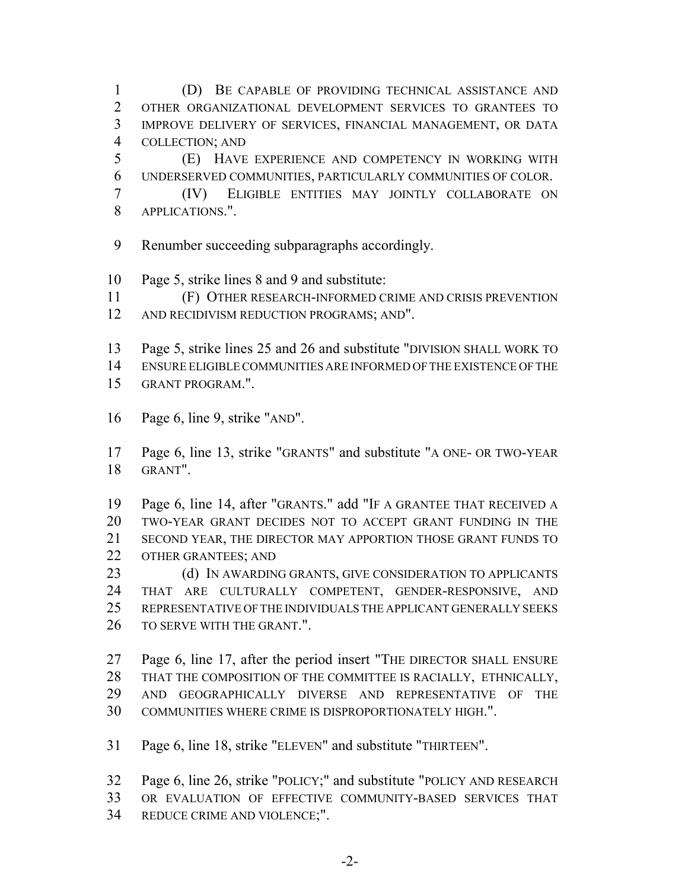(D) BE CAPABLE OF PROVIDING TECHNICAL ASSISTANCE AND OTHER ORGANIZATIONAL DEVELOPMENT SERVICES TO GRANTEES TO IMPROVE DELIVERY OF SERVICES, FINANCIAL MANAGEMENT, OR DATA COLLECTION; AND

 (E) HAVE EXPERIENCE AND COMPETENCY IN WORKING WITH UNDERSERVED COMMUNITIES, PARTICULARLY COMMUNITIES OF COLOR.

- (IV) ELIGIBLE ENTITIES MAY JOINTLY COLLABORATE ON APPLICATIONS.".
- Renumber succeeding subparagraphs accordingly.
- Page 5, strike lines 8 and 9 and substitute:
- (F) OTHER RESEARCH-INFORMED CRIME AND CRISIS PREVENTION
- AND RECIDIVISM REDUCTION PROGRAMS; AND".
- Page 5, strike lines 25 and 26 and substitute "DIVISION SHALL WORK TO
- ENSURE ELIGIBLE COMMUNITIES ARE INFORMED OF THE EXISTENCE OF THE GRANT PROGRAM.".
- Page 6, line 9, strike "AND".

 Page 6, line 13, strike "GRANTS" and substitute "A ONE- OR TWO-YEAR GRANT".

 Page 6, line 14, after "GRANTS." add "IF A GRANTEE THAT RECEIVED A TWO-YEAR GRANT DECIDES NOT TO ACCEPT GRANT FUNDING IN THE SECOND YEAR, THE DIRECTOR MAY APPORTION THOSE GRANT FUNDS TO OTHER GRANTEES; AND

23 (d) IN AWARDING GRANTS, GIVE CONSIDERATION TO APPLICANTS THAT ARE CULTURALLY COMPETENT, GENDER-RESPONSIVE, AND REPRESENTATIVE OF THE INDIVIDUALS THE APPLICANT GENERALLY SEEKS TO SERVE WITH THE GRANT.".

 Page 6, line 17, after the period insert "THE DIRECTOR SHALL ENSURE THAT THE COMPOSITION OF THE COMMITTEE IS RACIALLY, ETHNICALLY, AND GEOGRAPHICALLY DIVERSE AND REPRESENTATIVE OF THE COMMUNITIES WHERE CRIME IS DISPROPORTIONATELY HIGH.".

Page 6, line 18, strike "ELEVEN" and substitute "THIRTEEN".

 Page 6, line 26, strike "POLICY;" and substitute "POLICY AND RESEARCH OR EVALUATION OF EFFECTIVE COMMUNITY-BASED SERVICES THAT

REDUCE CRIME AND VIOLENCE;".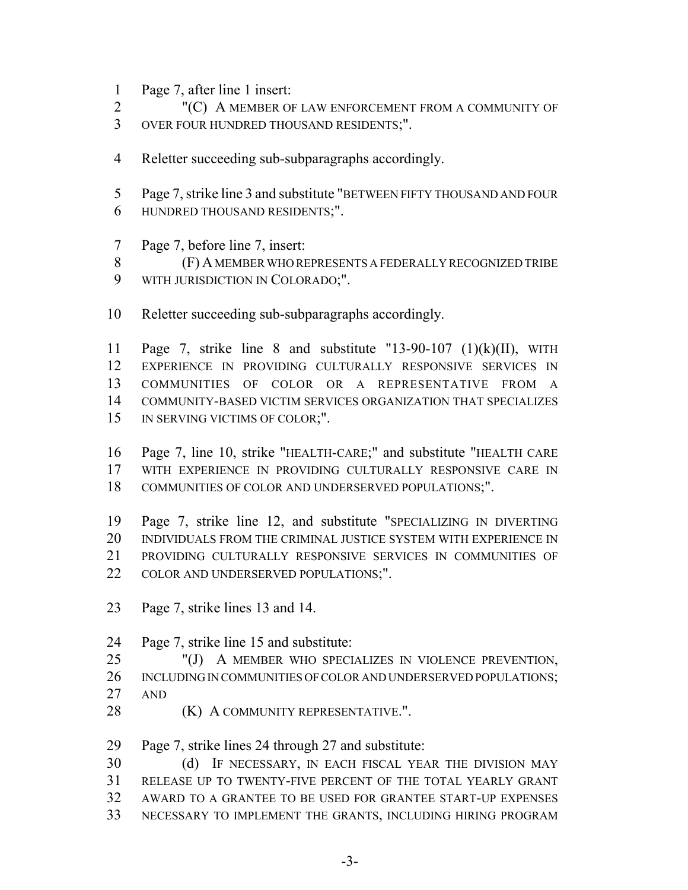- Page 7, after line 1 insert:
- "(C) A MEMBER OF LAW ENFORCEMENT FROM A COMMUNITY OF
- OVER FOUR HUNDRED THOUSAND RESIDENTS;".
- Reletter succeeding sub-subparagraphs accordingly.
- Page 7, strike line 3 and substitute "BETWEEN FIFTY THOUSAND AND FOUR HUNDRED THOUSAND RESIDENTS;".
- Page 7, before line 7, insert:
- (F) A MEMBER WHO REPRESENTS A FEDERALLY RECOGNIZED TRIBE WITH JURISDICTION IN COLORADO;".
- Reletter succeeding sub-subparagraphs accordingly.
- Page 7, strike line 8 and substitute "13-90-107 (1)(k)(II), WITH EXPERIENCE IN PROVIDING CULTURALLY RESPONSIVE SERVICES IN COMMUNITIES OF COLOR OR A REPRESENTATIVE FROM A COMMUNITY-BASED VICTIM SERVICES ORGANIZATION THAT SPECIALIZES 15 IN SERVING VICTIMS OF COLOR;".
- Page 7, line 10, strike "HEALTH-CARE;" and substitute "HEALTH CARE WITH EXPERIENCE IN PROVIDING CULTURALLY RESPONSIVE CARE IN COMMUNITIES OF COLOR AND UNDERSERVED POPULATIONS;".
- Page 7, strike line 12, and substitute "SPECIALIZING IN DIVERTING INDIVIDUALS FROM THE CRIMINAL JUSTICE SYSTEM WITH EXPERIENCE IN PROVIDING CULTURALLY RESPONSIVE SERVICES IN COMMUNITIES OF 22 COLOR AND UNDERSERVED POPULATIONS;".
- Page 7, strike lines 13 and 14.
- Page 7, strike line 15 and substitute:
- "(J) A MEMBER WHO SPECIALIZES IN VIOLENCE PREVENTION, INCLUDING IN COMMUNITIES OF COLOR AND UNDERSERVED POPULATIONS; AND
- **(K) A COMMUNITY REPRESENTATIVE.".**
- Page 7, strike lines 24 through 27 and substitute:

 (d) IF NECESSARY, IN EACH FISCAL YEAR THE DIVISION MAY RELEASE UP TO TWENTY-FIVE PERCENT OF THE TOTAL YEARLY GRANT AWARD TO A GRANTEE TO BE USED FOR GRANTEE START-UP EXPENSES NECESSARY TO IMPLEMENT THE GRANTS, INCLUDING HIRING PROGRAM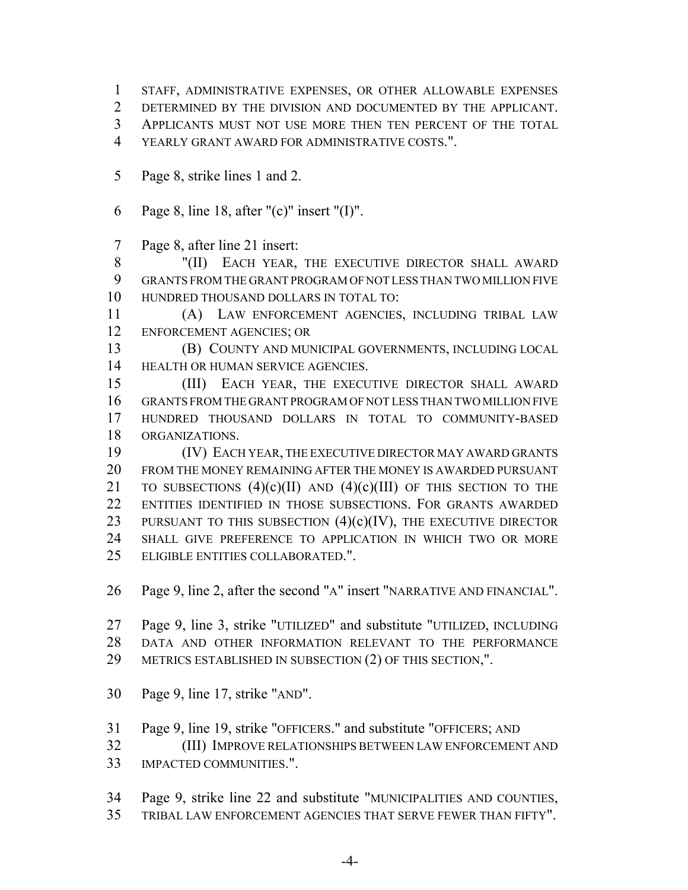- STAFF, ADMINISTRATIVE EXPENSES, OR OTHER ALLOWABLE EXPENSES
- DETERMINED BY THE DIVISION AND DOCUMENTED BY THE APPLICANT.
- APPLICANTS MUST NOT USE MORE THEN TEN PERCENT OF THE TOTAL
- YEARLY GRANT AWARD FOR ADMINISTRATIVE COSTS.".
- Page 8, strike lines 1 and 2.
- Page 8, line 18, after "(c)" insert "(I)".
- Page 8, after line 21 insert:

8 "(II) EACH YEAR, THE EXECUTIVE DIRECTOR SHALL AWARD GRANTS FROM THE GRANT PROGRAM OF NOT LESS THAN TWO MILLION FIVE HUNDRED THOUSAND DOLLARS IN TOTAL TO:

 (A) LAW ENFORCEMENT AGENCIES, INCLUDING TRIBAL LAW ENFORCEMENT AGENCIES; OR

- (B) COUNTY AND MUNICIPAL GOVERNMENTS, INCLUDING LOCAL 14 HEALTH OR HUMAN SERVICE AGENCIES.
- (III) EACH YEAR, THE EXECUTIVE DIRECTOR SHALL AWARD GRANTS FROM THE GRANT PROGRAM OF NOT LESS THAN TWO MILLION FIVE HUNDRED THOUSAND DOLLARS IN TOTAL TO COMMUNITY-BASED ORGANIZATIONS.
- (IV) EACH YEAR, THE EXECUTIVE DIRECTOR MAY AWARD GRANTS FROM THE MONEY REMAINING AFTER THE MONEY IS AWARDED PURSUANT 21 TO SUBSECTIONS  $(4)(c)(II)$  AND  $(4)(c)(III)$  OF THIS SECTION TO THE ENTITIES IDENTIFIED IN THOSE SUBSECTIONS. FOR GRANTS AWARDED 23 PURSUANT TO THIS SUBSECTION  $(4)(c)(IV)$ , THE EXECUTIVE DIRECTOR SHALL GIVE PREFERENCE TO APPLICATION IN WHICH TWO OR MORE ELIGIBLE ENTITIES COLLABORATED.".
- Page 9, line 2, after the second "A" insert "NARRATIVE AND FINANCIAL".
- Page 9, line 3, strike "UTILIZED" and substitute "UTILIZED, INCLUDING DATA AND OTHER INFORMATION RELEVANT TO THE PERFORMANCE
- METRICS ESTABLISHED IN SUBSECTION (2) OF THIS SECTION,".
- Page 9, line 17, strike "AND".
- Page 9, line 19, strike "OFFICERS." and substitute "OFFICERS; AND
- (III) IMPROVE RELATIONSHIPS BETWEEN LAW ENFORCEMENT AND
- IMPACTED COMMUNITIES.".
- Page 9, strike line 22 and substitute "MUNICIPALITIES AND COUNTIES,
- TRIBAL LAW ENFORCEMENT AGENCIES THAT SERVE FEWER THAN FIFTY".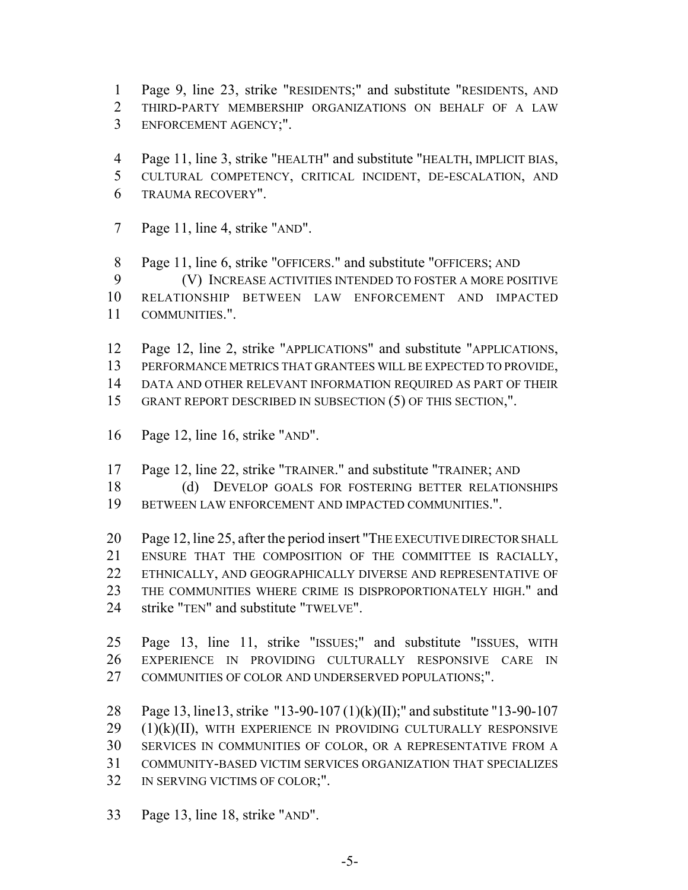- Page 9, line 23, strike "RESIDENTS;" and substitute "RESIDENTS, AND
- THIRD-PARTY MEMBERSHIP ORGANIZATIONS ON BEHALF OF A LAW ENFORCEMENT AGENCY;".
- Page 11, line 3, strike "HEALTH" and substitute "HEALTH, IMPLICIT BIAS,
- CULTURAL COMPETENCY, CRITICAL INCIDENT, DE-ESCALATION, AND TRAUMA RECOVERY".
- Page 11, line 4, strike "AND".

Page 11, line 6, strike "OFFICERS." and substitute "OFFICERS; AND

(V) INCREASE ACTIVITIES INTENDED TO FOSTER A MORE POSITIVE

- RELATIONSHIP BETWEEN LAW ENFORCEMENT AND IMPACTED COMMUNITIES.".
- Page 12, line 2, strike "APPLICATIONS" and substitute "APPLICATIONS, PERFORMANCE METRICS THAT GRANTEES WILL BE EXPECTED TO PROVIDE,

DATA AND OTHER RELEVANT INFORMATION REQUIRED AS PART OF THEIR

- GRANT REPORT DESCRIBED IN SUBSECTION (5) OF THIS SECTION,".
- Page 12, line 16, strike "AND".
- Page 12, line 22, strike "TRAINER." and substitute "TRAINER; AND
- 18 (d) DEVELOP GOALS FOR FOSTERING BETTER RELATIONSHIPS
- BETWEEN LAW ENFORCEMENT AND IMPACTED COMMUNITIES.".

 Page 12, line 25, after the period insert "THE EXECUTIVE DIRECTOR SHALL ENSURE THAT THE COMPOSITION OF THE COMMITTEE IS RACIALLY, ETHNICALLY, AND GEOGRAPHICALLY DIVERSE AND REPRESENTATIVE OF 23 THE COMMUNITIES WHERE CRIME IS DISPROPORTIONATELY HIGH." and strike "TEN" and substitute "TWELVE".

 Page 13, line 11, strike "ISSUES;" and substitute "ISSUES, WITH EXPERIENCE IN PROVIDING CULTURALLY RESPONSIVE CARE IN COMMUNITIES OF COLOR AND UNDERSERVED POPULATIONS;".

 Page 13, line13, strike "13-90-107 (1)(k)(II);" and substitute "13-90-107 (1)(k)(II), with EXPERIENCE IN PROVIDING CULTURALLY RESPONSIVE SERVICES IN COMMUNITIES OF COLOR, OR A REPRESENTATIVE FROM A COMMUNITY-BASED VICTIM SERVICES ORGANIZATION THAT SPECIALIZES IN SERVING VICTIMS OF COLOR;".

Page 13, line 18, strike "AND".